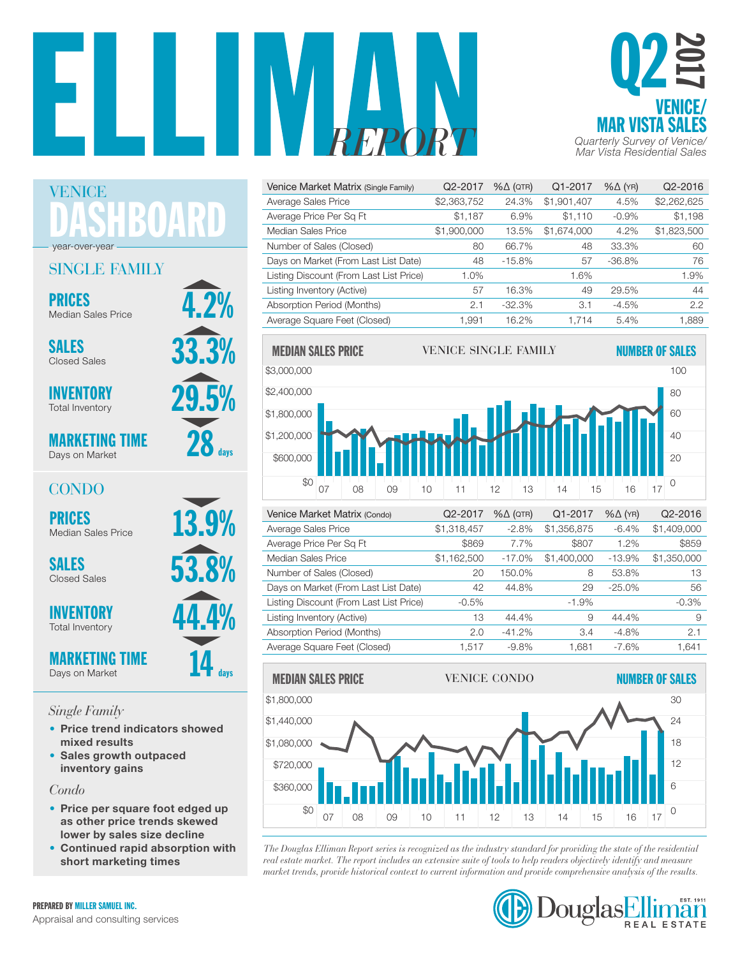



| Venice Market Matrix (Single Family)    | Q2-2017     | $% \triangle (QTR)$ | Q1-2017     | $% \triangle (YR)$ | Q2-2016     |
|-----------------------------------------|-------------|---------------------|-------------|--------------------|-------------|
| Average Sales Price                     | \$2,363,752 | 24.3%               | \$1,901,407 | 4.5%               | \$2,262,625 |
| Average Price Per Sq Ft                 | \$1,187     | 6.9%                | \$1.110     | $-0.9%$            | \$1,198     |
| Median Sales Price                      | \$1,900,000 | 13.5%               | \$1,674,000 | 4.2%               | \$1,823,500 |
| Number of Sales (Closed)                | 80          | 66.7%               | 48          | 33.3%              | 60          |
| Days on Market (From Last List Date)    | 48          | $-15.8%$            | 57          | $-36.8%$           | 76          |
| Listing Discount (From Last List Price) | 1.0%        |                     | 1.6%        |                    | 1.9%        |
| Listing Inventory (Active)              | 57          | 16.3%               | 49          | 29.5%              | 44          |
| Absorption Period (Months)              | 2.1         | $-32.3%$            | 3.1         | $-4.5%$            | 2.2         |
| Average Square Feet (Closed)            | 1.991       | 16.2%               | 1.714       | 5.4%               | 1,889       |



| Verlice Market Matrix (Condo)           | $QZ-ZUU$    | $\%$ $\Delta$ (QIR) | Q1-2017     | $\%$ $\Delta$ (YR) | Q2-2010     |
|-----------------------------------------|-------------|---------------------|-------------|--------------------|-------------|
| Average Sales Price                     | \$1,318,457 | $-2.8%$             | \$1,356,875 | $-6.4%$            | \$1,409,000 |
| Average Price Per Sq Ft                 | \$869       | 7.7%                | \$807       | 1.2%               | \$859       |
| Median Sales Price                      | \$1,162,500 | $-17.0%$            | \$1,400,000 | $-13.9%$           | \$1,350,000 |
| Number of Sales (Closed)                | 20          | 150.0%              | 8           | 53.8%              | 13          |
| Days on Market (From Last List Date)    | 42          | 44.8%               | 29          | $-25.0\%$          | 56          |
| Listing Discount (From Last List Price) | $-0.5%$     |                     | $-1.9%$     |                    | $-0.3%$     |
| Listing Inventory (Active)              | 13          | 44.4%               | 9           | 44.4%              | 9           |
| Absorption Period (Months)              | 2.0         | $-41.2%$            | 3.4         | $-4.8%$            | 2.1         |
| Average Square Feet (Closed)            | 1.517       | $-9.8\%$            | 1,681       | $-7.6\%$           | 1,641       |
|                                         |             |                     |             |                    |             |



*The Douglas Elliman Report series is recognized as the industry standard for providing the state of the residential rne Dougus Eluman Report series is recognized as the industry sumating or providing the state of the residentia*<br>real estate market. The report includes an extensive suite of tools to help readers objectively identify and red estate market. The report ancidets an extensive state of tools to help redacts objectively dentify and measure<br>market trends, provide historical context to current information and provide comprehensive analysis of the



DASHBOARD year-over-year

### SINGLE FAMILY

**PRICES**<br>Median Sales Price **4.2%** 

SALES  $\frac{33.3\%}{25.3\%}$ Closed Sales

VENICE

**INVENTORY** Total Inventory

MARKETING TIME Days on Market

### CONDO

**INVENTORY** Total Inventory

MARKETING TIME Days on Market

### *Single Family*

- Price trend indicators showed mixed results
- Sales growth outpaced inventory gains

*Condo*

- Price per square foot edged up as other price trends skewed lower by sales size decline
- Continued rapid absorption with short marketing times



 $14$  days

 $28_{\text{\tiny{days}}}$